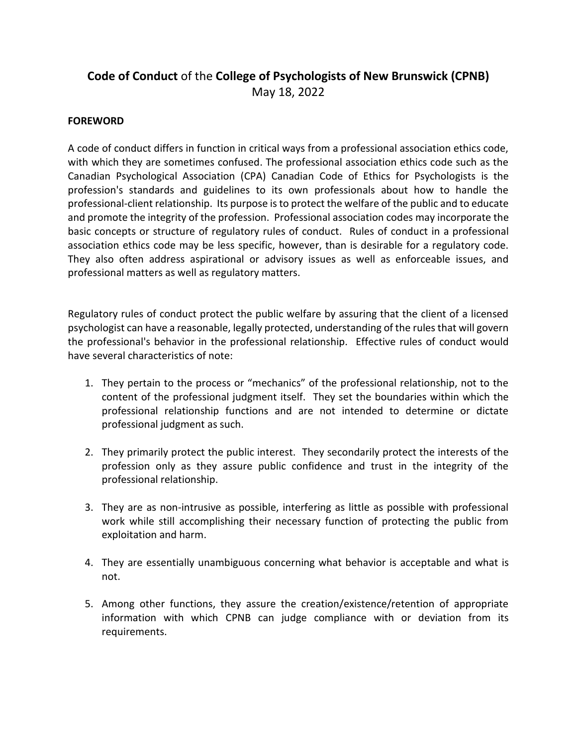# **Code of Conduct** of the **College of Psychologists of New Brunswick (CPNB)** May 18, 2022

## **FOREWORD**

A code of conduct differs in function in critical ways from a professional association ethics code, with which they are sometimes confused. The professional association ethics code such as the Canadian Psychological Association (CPA) Canadian Code of Ethics for Psychologists is the profession's standards and guidelines to its own professionals about how to handle the professional-client relationship. Its purpose is to protect the welfare of the public and to educate and promote the integrity of the profession. Professional association codes may incorporate the basic concepts or structure of regulatory rules of conduct. Rules of conduct in a professional association ethics code may be less specific, however, than is desirable for a regulatory code. They also often address aspirational or advisory issues as well as enforceable issues, and professional matters as well as regulatory matters.

Regulatory rules of conduct protect the public welfare by assuring that the client of a licensed psychologist can have a reasonable, legally protected, understanding of the rules that will govern the professional's behavior in the professional relationship. Effective rules of conduct would have several characteristics of note:

- 1. They pertain to the process or "mechanics" of the professional relationship, not to the content of the professional judgment itself. They set the boundaries within which the professional relationship functions and are not intended to determine or dictate professional judgment as such.
- 2. They primarily protect the public interest. They secondarily protect the interests of the profession only as they assure public confidence and trust in the integrity of the professional relationship.
- 3. They are as non-intrusive as possible, interfering as little as possible with professional work while still accomplishing their necessary function of protecting the public from exploitation and harm.
- 4. They are essentially unambiguous concerning what behavior is acceptable and what is not.
- 5. Among other functions, they assure the creation/existence/retention of appropriate information with which CPNB can judge compliance with or deviation from its requirements.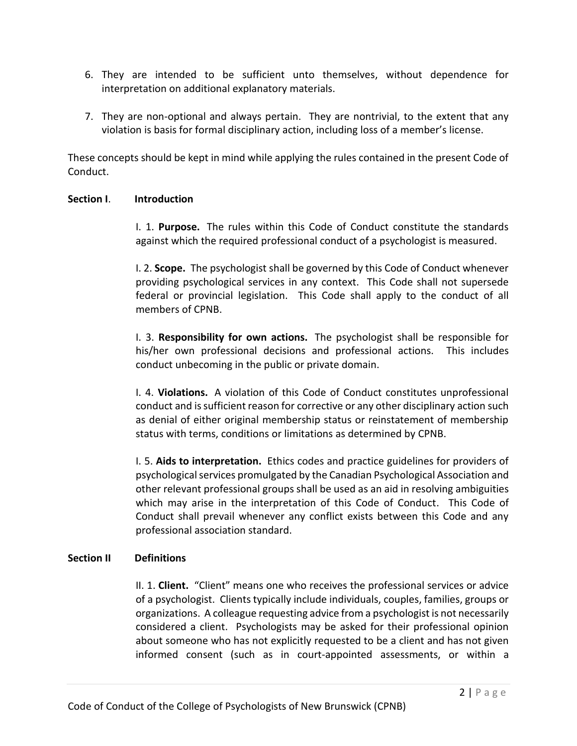- 6. They are intended to be sufficient unto themselves, without dependence for interpretation on additional explanatory materials.
- 7. They are non-optional and always pertain. They are nontrivial, to the extent that any violation is basis for formal disciplinary action, including loss of a member's license.

These concepts should be kept in mind while applying the rules contained in the present Code of Conduct.

## **Section I**. **Introduction**

I. 1. **Purpose.** The rules within this Code of Conduct constitute the standards against which the required professional conduct of a psychologist is measured.

I. 2. **Scope.** The psychologist shall be governed by this Code of Conduct whenever providing psychological services in any context. This Code shall not supersede federal or provincial legislation. This Code shall apply to the conduct of all members of CPNB.

I. 3. **Responsibility for own actions.** The psychologist shall be responsible for his/her own professional decisions and professional actions. This includes conduct unbecoming in the public or private domain.

I. 4. **Violations.** A violation of this Code of Conduct constitutes unprofessional conduct and is sufficient reason for corrective or any other disciplinary action such as denial of either original membership status or reinstatement of membership status with terms, conditions or limitations as determined by CPNB.

I. 5. **Aids to interpretation.** Ethics codes and practice guidelines for providers of psychological services promulgated by the Canadian Psychological Association and other relevant professional groups shall be used as an aid in resolving ambiguities which may arise in the interpretation of this Code of Conduct. This Code of Conduct shall prevail whenever any conflict exists between this Code and any professional association standard.

# **Section II Definitions**

II. 1. **Client.** "Client" means one who receives the professional services or advice of a psychologist. Clients typically include individuals, couples, families, groups or organizations. A colleague requesting advice from a psychologist is not necessarily considered a client. Psychologists may be asked for their professional opinion about someone who has not explicitly requested to be a client and has not given informed consent (such as in court-appointed assessments, or within a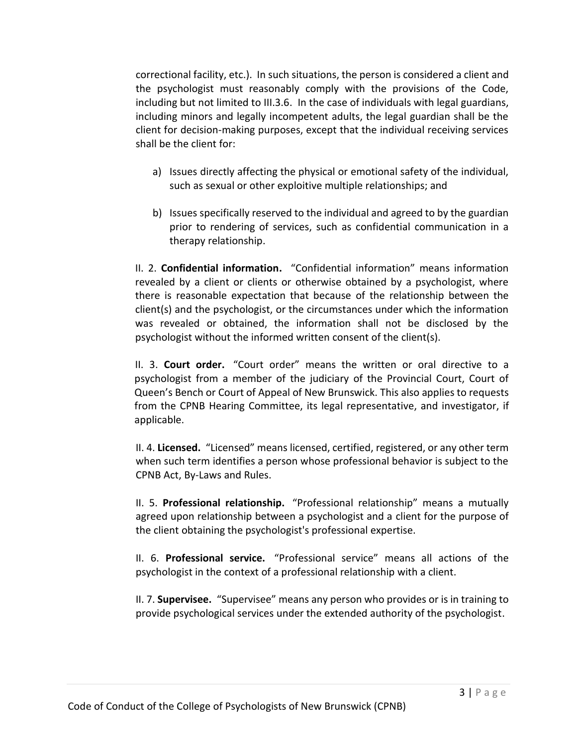correctional facility, etc.). In such situations, the person is considered a client and the psychologist must reasonably comply with the provisions of the Code, including but not limited to III.3.6. In the case of individuals with legal guardians, including minors and legally incompetent adults, the legal guardian shall be the client for decision-making purposes, except that the individual receiving services shall be the client for:

- a) Issues directly affecting the physical or emotional safety of the individual, such as sexual or other exploitive multiple relationships; and
- b) Issues specifically reserved to the individual and agreed to by the guardian prior to rendering of services, such as confidential communication in a therapy relationship.

II. 2. **Confidential information.** "Confidential information" means information revealed by a client or clients or otherwise obtained by a psychologist, where there is reasonable expectation that because of the relationship between the client(s) and the psychologist, or the circumstances under which the information was revealed or obtained, the information shall not be disclosed by the psychologist without the informed written consent of the client(s).

II. 3. **Court order.** "Court order" means the written or oral directive to a psychologist from a member of the judiciary of the Provincial Court, Court of Queen's Bench or Court of Appeal of New Brunswick. This also applies to requests from the CPNB Hearing Committee, its legal representative, and investigator, if applicable.

II. 4. **Licensed.** "Licensed" means licensed, certified, registered, or any other term when such term identifies a person whose professional behavior is subject to the CPNB Act, By-Laws and Rules.

II. 5. **Professional relationship.** "Professional relationship" means a mutually agreed upon relationship between a psychologist and a client for the purpose of the client obtaining the psychologist's professional expertise.

II. 6. **Professional service.** "Professional service" means all actions of the psychologist in the context of a professional relationship with a client.

II. 7. **Supervisee.** "Supervisee" means any person who provides or is in training to provide psychological services under the extended authority of the psychologist.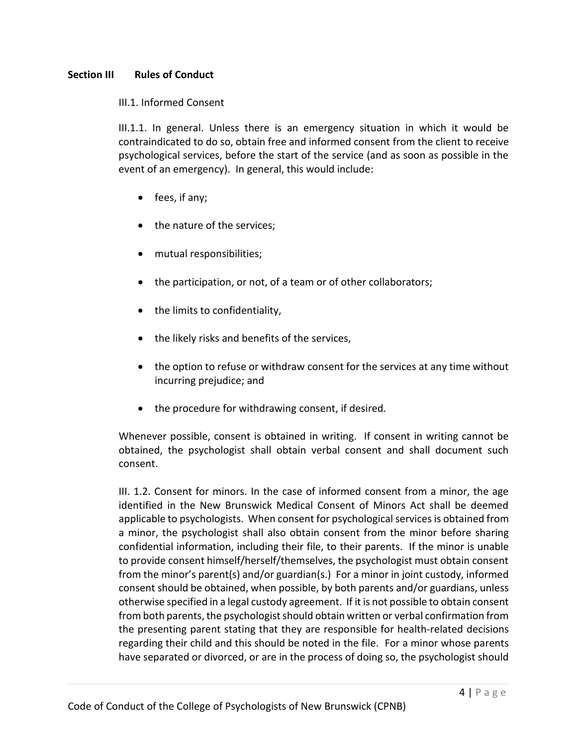## **Section III Rules of Conduct**

## III.1. Informed Consent

III.1.1. In general. Unless there is an emergency situation in which it would be contraindicated to do so, obtain free and informed consent from the client to receive psychological services, before the start of the service (and as soon as possible in the event of an emergency). In general, this would include:

- fees, if any;
- the nature of the services;
- mutual responsibilities;
- the participation, or not, of a team or of other collaborators;
- the limits to confidentiality,
- the likely risks and benefits of the services,
- the option to refuse or withdraw consent for the services at any time without incurring prejudice; and
- the procedure for withdrawing consent, if desired.

Whenever possible, consent is obtained in writing. If consent in writing cannot be obtained, the psychologist shall obtain verbal consent and shall document such consent.

III. 1.2. Consent for minors. In the case of informed consent from a minor, the age identified in the New Brunswick Medical Consent of Minors Act shall be deemed applicable to psychologists. When consent for psychological services is obtained from a minor, the psychologist shall also obtain consent from the minor before sharing confidential information, including their file, to their parents. If the minor is unable to provide consent himself/herself/themselves, the psychologist must obtain consent from the minor's parent(s) and/or guardian(s.) For a minor in joint custody, informed consent should be obtained, when possible, by both parents and/or guardians, unless otherwise specified in a legal custody agreement. If it is not possible to obtain consent from both parents, the psychologist should obtain written or verbal confirmation from the presenting parent stating that they are responsible for health-related decisions regarding their child and this should be noted in the file. For a minor whose parents have separated or divorced, or are in the process of doing so, the psychologist should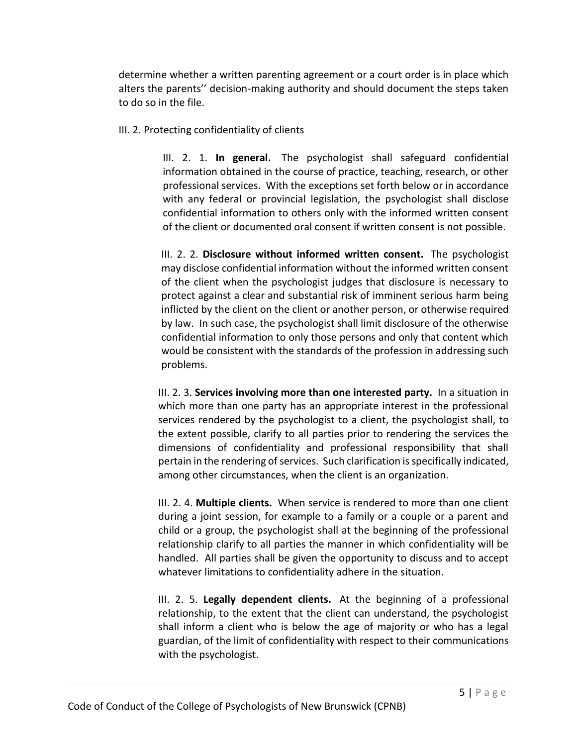determine whether a written parenting agreement or a court order is in place which alters the parents'' decision-making authority and should document the steps taken to do so in the file.

III. 2. Protecting confidentiality of clients

III. 2. 1. **In general.** The psychologist shall safeguard confidential information obtained in the course of practice, teaching, research, or other professional services. With the exceptions set forth below or in accordance with any federal or provincial legislation, the psychologist shall disclose confidential information to others only with the informed written consent of the client or documented oral consent if written consent is not possible.

III. 2. 2. **Disclosure without informed written consent.** The psychologist may disclose confidential information without the informed written consent of the client when the psychologist judges that disclosure is necessary to protect against a clear and substantial risk of imminent serious harm being inflicted by the client on the client or another person, or otherwise required by law. In such case, the psychologist shall limit disclosure of the otherwise confidential information to only those persons and only that content which would be consistent with the standards of the profession in addressing such problems.

III. 2. 3. **Services involving more than one interested party.** In a situation in which more than one party has an appropriate interest in the professional services rendered by the psychologist to a client, the psychologist shall, to the extent possible, clarify to all parties prior to rendering the services the dimensions of confidentiality and professional responsibility that shall pertain in the rendering of services. Such clarification is specifically indicated, among other circumstances, when the client is an organization.

III. 2. 4. **Multiple clients.** When service is rendered to more than one client during a joint session, for example to a family or a couple or a parent and child or a group, the psychologist shall at the beginning of the professional relationship clarify to all parties the manner in which confidentiality will be handled. All parties shall be given the opportunity to discuss and to accept whatever limitations to confidentiality adhere in the situation.

III. 2. 5. **Legally dependent clients.** At the beginning of a professional relationship, to the extent that the client can understand, the psychologist shall inform a client who is below the age of majority or who has a legal guardian, of the limit of confidentiality with respect to their communications with the psychologist.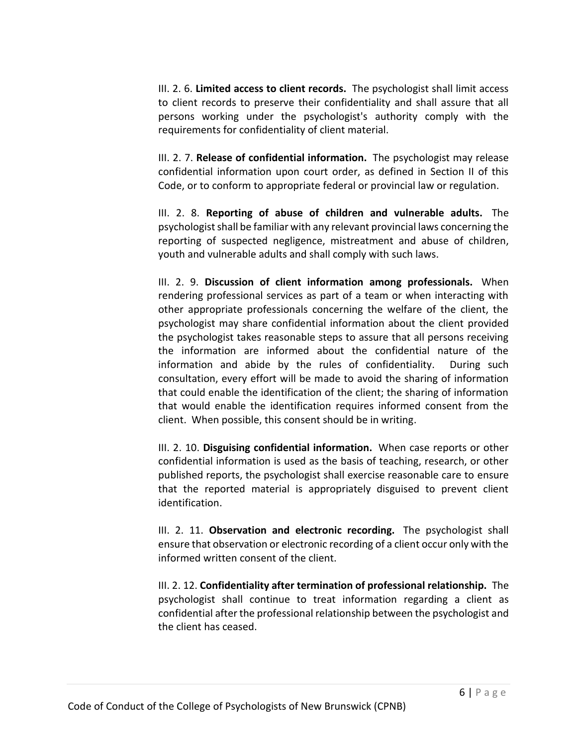III. 2. 6. **Limited access to client records.** The psychologist shall limit access to client records to preserve their confidentiality and shall assure that all persons working under the psychologist's authority comply with the requirements for confidentiality of client material.

III. 2. 7. **Release of confidential information.** The psychologist may release confidential information upon court order, as defined in Section II of this Code, or to conform to appropriate federal or provincial law or regulation.

III. 2. 8. **Reporting of abuse of children and vulnerable adults.** The psychologist shall be familiar with any relevant provincial laws concerning the reporting of suspected negligence, mistreatment and abuse of children, youth and vulnerable adults and shall comply with such laws.

III. 2. 9. **Discussion of client information among professionals.** When rendering professional services as part of a team or when interacting with other appropriate professionals concerning the welfare of the client, the psychologist may share confidential information about the client provided the psychologist takes reasonable steps to assure that all persons receiving the information are informed about the confidential nature of the information and abide by the rules of confidentiality. During such consultation, every effort will be made to avoid the sharing of information that could enable the identification of the client; the sharing of information that would enable the identification requires informed consent from the client. When possible, this consent should be in writing.

III. 2. 10. **Disguising confidential information.** When case reports or other confidential information is used as the basis of teaching, research, or other published reports, the psychologist shall exercise reasonable care to ensure that the reported material is appropriately disguised to prevent client identification.

III. 2. 11. **Observation and electronic recording.** The psychologist shall ensure that observation or electronic recording of a client occur only with the informed written consent of the client.

III. 2. 12. **Confidentiality after termination of professional relationship.** The psychologist shall continue to treat information regarding a client as confidential after the professional relationship between the psychologist and the client has ceased.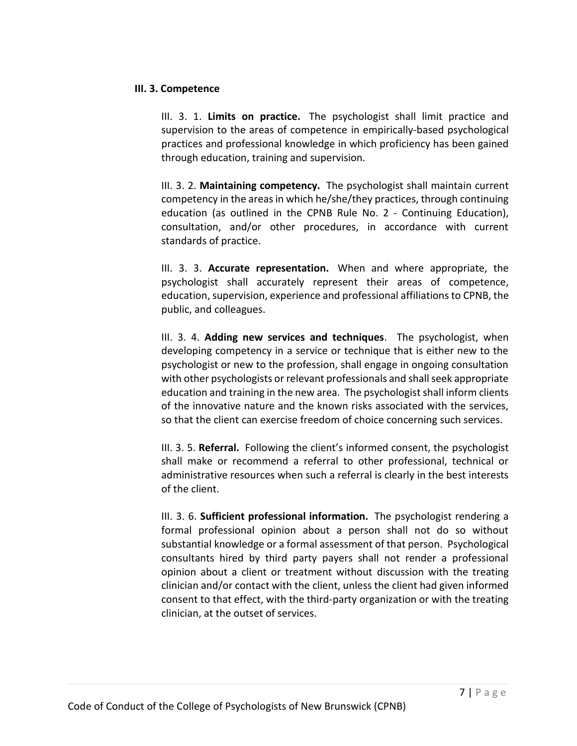### **III. 3. Competence**

III. 3. 1. **Limits on practice.** The psychologist shall limit practice and supervision to the areas of competence in empirically-based psychological practices and professional knowledge in which proficiency has been gained through education, training and supervision.

III. 3. 2. **Maintaining competency.** The psychologist shall maintain current competency in the areas in which he/she/they practices, through continuing education (as outlined in the CPNB Rule No. 2 - Continuing Education), consultation, and/or other procedures, in accordance with current standards of practice.

III. 3. 3. **Accurate representation.** When and where appropriate, the psychologist shall accurately represent their areas of competence, education, supervision, experience and professional affiliations to CPNB, the public, and colleagues.

III. 3. 4. **Adding new services and techniques**. The psychologist, when developing competency in a service or technique that is either new to the psychologist or new to the profession, shall engage in ongoing consultation with other psychologists or relevant professionals and shall seek appropriate education and training in the new area. The psychologist shall inform clients of the innovative nature and the known risks associated with the services, so that the client can exercise freedom of choice concerning such services.

III. 3. 5. **Referral.** Following the client's informed consent, the psychologist shall make or recommend a referral to other professional, technical or administrative resources when such a referral is clearly in the best interests of the client.

III. 3. 6. **Sufficient professional information.** The psychologist rendering a formal professional opinion about a person shall not do so without substantial knowledge or a formal assessment of that person. Psychological consultants hired by third party payers shall not render a professional opinion about a client or treatment without discussion with the treating clinician and/or contact with the client, unless the client had given informed consent to that effect, with the third-party organization or with the treating clinician, at the outset of services.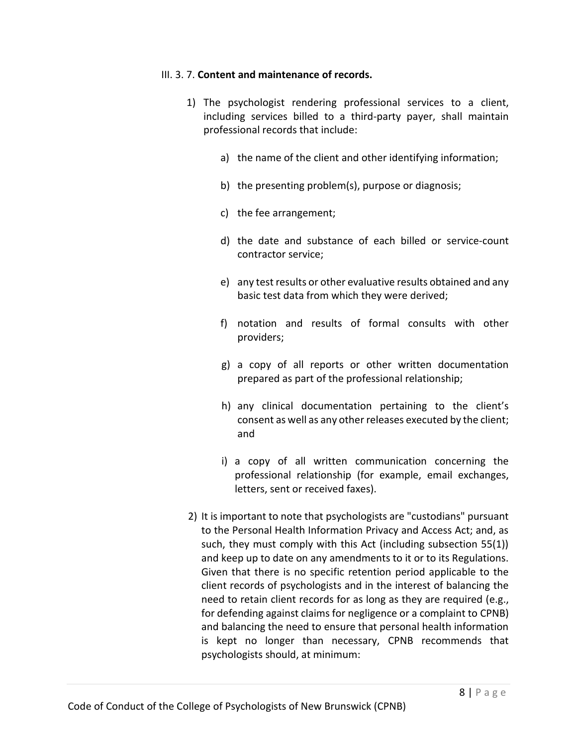## III. 3. 7. **Content and maintenance of records.**

- 1) The psychologist rendering professional services to a client, including services billed to a third-party payer, shall maintain professional records that include:
	- a) the name of the client and other identifying information;
	- b) the presenting problem(s), purpose or diagnosis;
	- c) the fee arrangement;
	- d) the date and substance of each billed or service-count contractor service;
	- e) any test results or other evaluative results obtained and any basic test data from which they were derived;
	- f) notation and results of formal consults with other providers;
	- g) a copy of all reports or other written documentation prepared as part of the professional relationship;
	- h) any clinical documentation pertaining to the client's consent as well as any other releases executed by the client; and
	- i) a copy of all written communication concerning the professional relationship (for example, email exchanges, letters, sent or received faxes).
- 2) It is important to note that psychologists are "custodians" pursuant to the Personal Health Information Privacy and Access Act; and, as such, they must comply with this Act (including subsection 55(1)) and keep up to date on any amendments to it or to its Regulations. Given that there is no specific retention period applicable to the client records of psychologists and in the interest of balancing the need to retain client records for as long as they are required (e.g., for defending against claims for negligence or a complaint to CPNB) and balancing the need to ensure that personal health information is kept no longer than necessary, CPNB recommends that psychologists should, at minimum: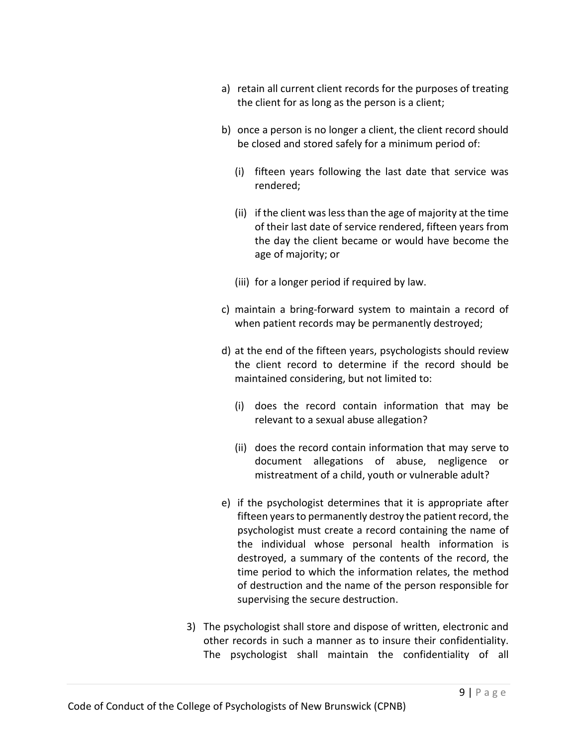- a) retain all current client records for the purposes of treating the client for as long as the person is a client;
- b) once a person is no longer a client, the client record should be closed and stored safely for a minimum period of:
	- (i) fifteen years following the last date that service was rendered;
	- (ii) if the client was less than the age of majority at the time of their last date of service rendered, fifteen years from the day the client became or would have become the age of majority; or
	- (iii) for a longer period if required by law.
- c) maintain a bring-forward system to maintain a record of when patient records may be permanently destroyed;
- d) at the end of the fifteen years, psychologists should review the client record to determine if the record should be maintained considering, but not limited to:
	- (i) does the record contain information that may be relevant to a sexual abuse allegation?
	- (ii) does the record contain information that may serve to document allegations of abuse, negligence or mistreatment of a child, youth or vulnerable adult?
- e) if the psychologist determines that it is appropriate after fifteen years to permanently destroy the patient record, the psychologist must create a record containing the name of the individual whose personal health information is destroyed, a summary of the contents of the record, the time period to which the information relates, the method of destruction and the name of the person responsible for supervising the secure destruction.
- 3) The psychologist shall store and dispose of written, electronic and other records in such a manner as to insure their confidentiality. The psychologist shall maintain the confidentiality of all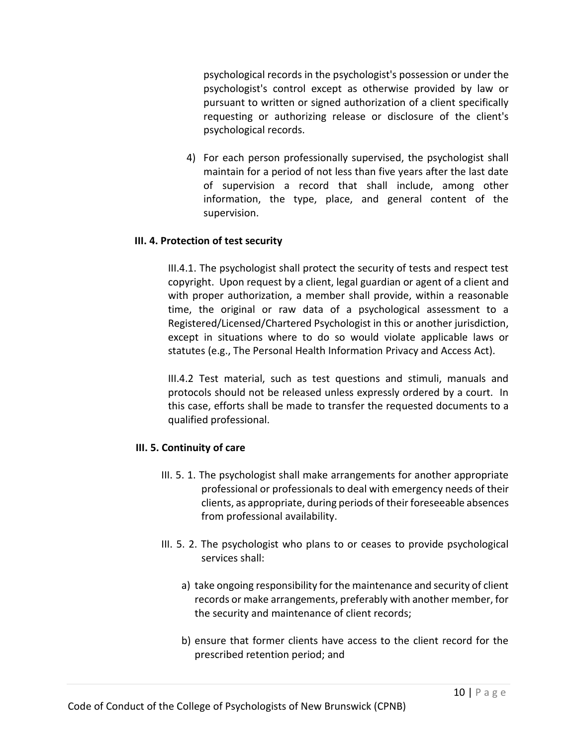psychological records in the psychologist's possession or under the psychologist's control except as otherwise provided by law or pursuant to written or signed authorization of a client specifically requesting or authorizing release or disclosure of the client's psychological records.

4) For each person professionally supervised, the psychologist shall maintain for a period of not less than five years after the last date of supervision a record that shall include, among other information, the type, place, and general content of the supervision.

# **III. 4. Protection of test security**

III.4.1. The psychologist shall protect the security of tests and respect test copyright. Upon request by a client, legal guardian or agent of a client and with proper authorization, a member shall provide, within a reasonable time, the original or raw data of a psychological assessment to a Registered/Licensed/Chartered Psychologist in this or another jurisdiction, except in situations where to do so would violate applicable laws or statutes (e.g., The Personal Health Information Privacy and Access Act).

III.4.2 Test material, such as test questions and stimuli, manuals and protocols should not be released unless expressly ordered by a court. In this case, efforts shall be made to transfer the requested documents to a qualified professional.

## **III. 5. Continuity of care**

- III. 5. 1. The psychologist shall make arrangements for another appropriate professional or professionals to deal with emergency needs of their clients, as appropriate, during periods of their foreseeable absences from professional availability.
- III. 5. 2. The psychologist who plans to or ceases to provide psychological services shall:
	- a) take ongoing responsibility for the maintenance and security of client records or make arrangements, preferably with another member, for the security and maintenance of client records;
	- b) ensure that former clients have access to the client record for the prescribed retention period; and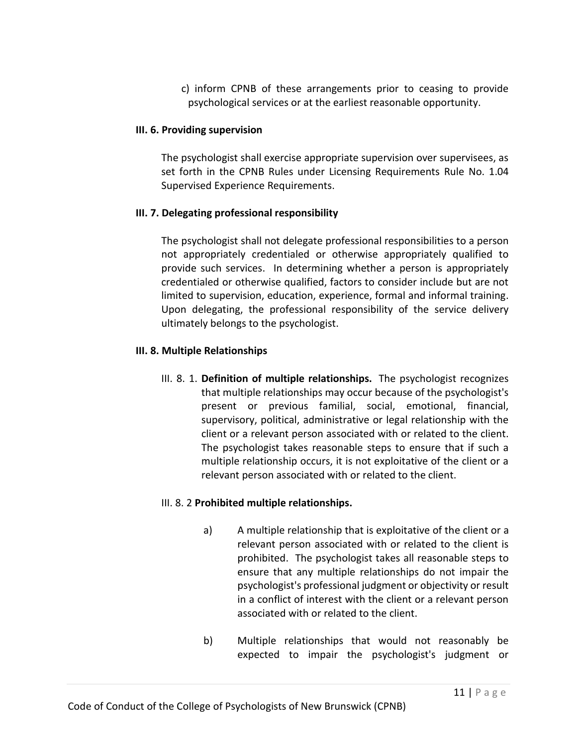c) inform CPNB of these arrangements prior to ceasing to provide psychological services or at the earliest reasonable opportunity.

## **III. 6. Providing supervision**

The psychologist shall exercise appropriate supervision over supervisees, as set forth in the CPNB Rules under Licensing Requirements Rule No. 1.04 Supervised Experience Requirements.

# **III. 7. Delegating professional responsibility**

The psychologist shall not delegate professional responsibilities to a person not appropriately credentialed or otherwise appropriately qualified to provide such services. In determining whether a person is appropriately credentialed or otherwise qualified, factors to consider include but are not limited to supervision, education, experience, formal and informal training. Upon delegating, the professional responsibility of the service delivery ultimately belongs to the psychologist.

# **III. 8. Multiple Relationships**

III. 8. 1. **Definition of multiple relationships.** The psychologist recognizes that multiple relationships may occur because of the psychologist's present or previous familial, social, emotional, financial, supervisory, political, administrative or legal relationship with the client or a relevant person associated with or related to the client. The psychologist takes reasonable steps to ensure that if such a multiple relationship occurs, it is not exploitative of the client or a relevant person associated with or related to the client.

# III. 8. 2 **Prohibited multiple relationships.**

- a) A multiple relationship that is exploitative of the client or a relevant person associated with or related to the client is prohibited. The psychologist takes all reasonable steps to ensure that any multiple relationships do not impair the psychologist's professional judgment or objectivity or result in a conflict of interest with the client or a relevant person associated with or related to the client.
- b) Multiple relationships that would not reasonably be expected to impair the psychologist's judgment or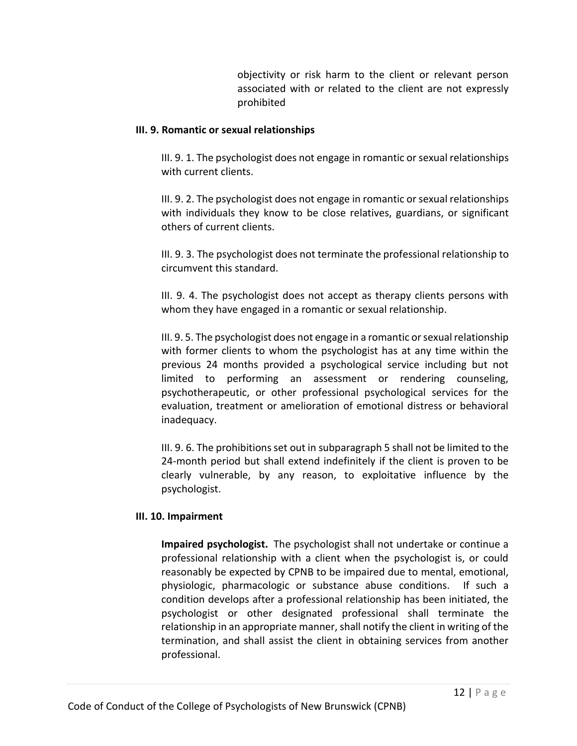objectivity or risk harm to the client or relevant person associated with or related to the client are not expressly prohibited

## **III. 9. Romantic or sexual relationships**

III. 9. 1. The psychologist does not engage in romantic or sexual relationships with current clients.

III. 9. 2. The psychologist does not engage in romantic or sexual relationships with individuals they know to be close relatives, guardians, or significant others of current clients.

III. 9. 3. The psychologist does not terminate the professional relationship to circumvent this standard.

III. 9. 4. The psychologist does not accept as therapy clients persons with whom they have engaged in a romantic or sexual relationship.

III. 9. 5. The psychologist does not engage in a romantic or sexual relationship with former clients to whom the psychologist has at any time within the previous 24 months provided a psychological service including but not limited to performing an assessment or rendering counseling, psychotherapeutic, or other professional psychological services for the evaluation, treatment or amelioration of emotional distress or behavioral inadequacy.

III. 9. 6. The prohibitions set out in subparagraph 5 shall not be limited to the 24-month period but shall extend indefinitely if the client is proven to be clearly vulnerable, by any reason, to exploitative influence by the psychologist.

# **III. 10. Impairment**

**Impaired psychologist.** The psychologist shall not undertake or continue a professional relationship with a client when the psychologist is, or could reasonably be expected by CPNB to be impaired due to mental, emotional, physiologic, pharmacologic or substance abuse conditions. If such a condition develops after a professional relationship has been initiated, the psychologist or other designated professional shall terminate the relationship in an appropriate manner, shall notify the client in writing of the termination, and shall assist the client in obtaining services from another professional.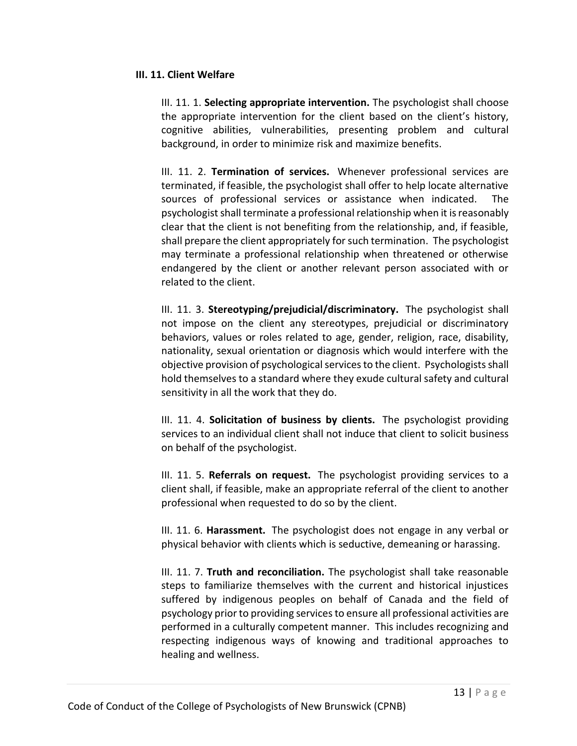## **III. 11. Client Welfare**

III. 11. 1. **Selecting appropriate intervention.** The psychologist shall choose the appropriate intervention for the client based on the client's history, cognitive abilities, vulnerabilities, presenting problem and cultural background, in order to minimize risk and maximize benefits.

III. 11. 2. **Termination of services.** Whenever professional services are terminated, if feasible, the psychologist shall offer to help locate alternative sources of professional services or assistance when indicated. The psychologist shall terminate a professional relationship when it is reasonably clear that the client is not benefiting from the relationship, and, if feasible, shall prepare the client appropriately for such termination. The psychologist may terminate a professional relationship when threatened or otherwise endangered by the client or another relevant person associated with or related to the client.

III. 11. 3. **Stereotyping/prejudicial/discriminatory.** The psychologist shall not impose on the client any stereotypes, prejudicial or discriminatory behaviors, values or roles related to age, gender, religion, race, disability, nationality, sexual orientation or diagnosis which would interfere with the objective provision of psychological services to the client. Psychologists shall hold themselves to a standard where they exude cultural safety and cultural sensitivity in all the work that they do.

III. 11. 4. **Solicitation of business by clients.** The psychologist providing services to an individual client shall not induce that client to solicit business on behalf of the psychologist.

III. 11. 5. **Referrals on request.** The psychologist providing services to a client shall, if feasible, make an appropriate referral of the client to another professional when requested to do so by the client.

III. 11. 6. **Harassment.** The psychologist does not engage in any verbal or physical behavior with clients which is seductive, demeaning or harassing.

III. 11. 7. **Truth and reconciliation.** The psychologist shall take reasonable steps to familiarize themselves with the current and historical injustices suffered by indigenous peoples on behalf of Canada and the field of psychology prior to providing services to ensure all professional activities are performed in a culturally competent manner. This includes recognizing and respecting indigenous ways of knowing and traditional approaches to healing and wellness.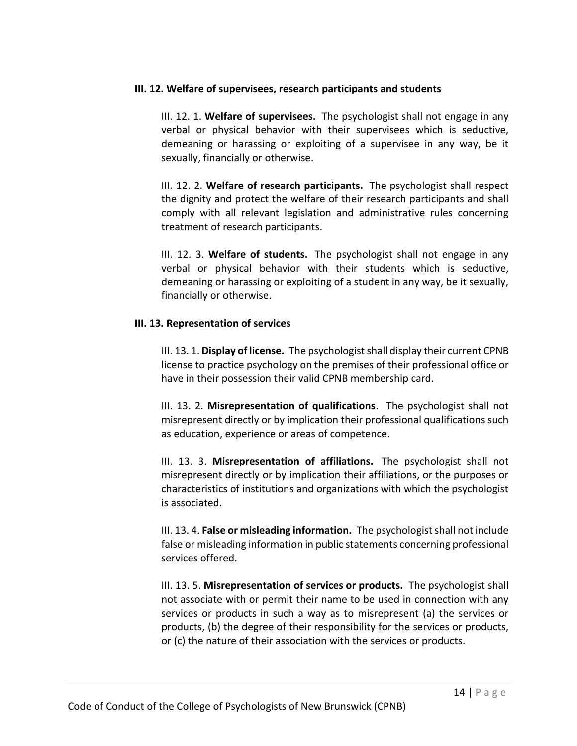### **III. 12. Welfare of supervisees, research participants and students**

III. 12. 1. **Welfare of supervisees.** The psychologist shall not engage in any verbal or physical behavior with their supervisees which is seductive, demeaning or harassing or exploiting of a supervisee in any way, be it sexually, financially or otherwise.

III. 12. 2. **Welfare of research participants.** The psychologist shall respect the dignity and protect the welfare of their research participants and shall comply with all relevant legislation and administrative rules concerning treatment of research participants.

III. 12. 3. **Welfare of students.** The psychologist shall not engage in any verbal or physical behavior with their students which is seductive, demeaning or harassing or exploiting of a student in any way, be it sexually, financially or otherwise.

## **III. 13. Representation of services**

III. 13. 1. **Display of license.** The psychologist shall display their current CPNB license to practice psychology on the premises of their professional office or have in their possession their valid CPNB membership card.

III. 13. 2. **Misrepresentation of qualifications**. The psychologist shall not misrepresent directly or by implication their professional qualifications such as education, experience or areas of competence.

III. 13. 3. **Misrepresentation of affiliations.** The psychologist shall not misrepresent directly or by implication their affiliations, or the purposes or characteristics of institutions and organizations with which the psychologist is associated.

III. 13. 4. **False or misleading information.** The psychologist shall not include false or misleading information in public statements concerning professional services offered.

III. 13. 5. **Misrepresentation of services or products.** The psychologist shall not associate with or permit their name to be used in connection with any services or products in such a way as to misrepresent (a) the services or products, (b) the degree of their responsibility for the services or products, or (c) the nature of their association with the services or products.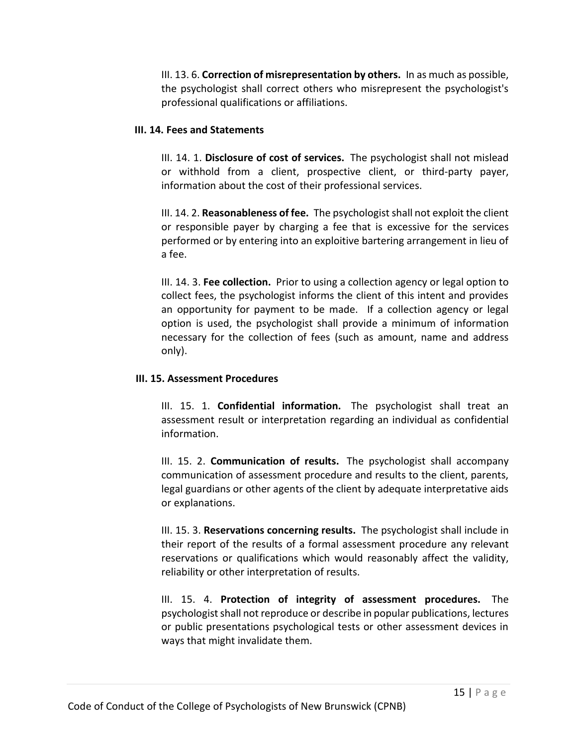III. 13. 6. **Correction of misrepresentation by others.** In as much as possible, the psychologist shall correct others who misrepresent the psychologist's professional qualifications or affiliations.

## **III. 14. Fees and Statements**

III. 14. 1. **Disclosure of cost of services.** The psychologist shall not mislead or withhold from a client, prospective client, or third-party payer, information about the cost of their professional services.

III. 14. 2. **Reasonableness of fee.** The psychologist shall not exploit the client or responsible payer by charging a fee that is excessive for the services performed or by entering into an exploitive bartering arrangement in lieu of a fee.

III. 14. 3. **Fee collection.** Prior to using a collection agency or legal option to collect fees, the psychologist informs the client of this intent and provides an opportunity for payment to be made. If a collection agency or legal option is used, the psychologist shall provide a minimum of information necessary for the collection of fees (such as amount, name and address only).

# **III. 15. Assessment Procedures**

III. 15. 1. **Confidential information.** The psychologist shall treat an assessment result or interpretation regarding an individual as confidential information.

III. 15. 2. **Communication of results.** The psychologist shall accompany communication of assessment procedure and results to the client, parents, legal guardians or other agents of the client by adequate interpretative aids or explanations.

III. 15. 3. **Reservations concerning results.** The psychologist shall include in their report of the results of a formal assessment procedure any relevant reservations or qualifications which would reasonably affect the validity, reliability or other interpretation of results.

III. 15. 4. **Protection of integrity of assessment procedures.** The psychologist shall not reproduce or describe in popular publications, lectures or public presentations psychological tests or other assessment devices in ways that might invalidate them.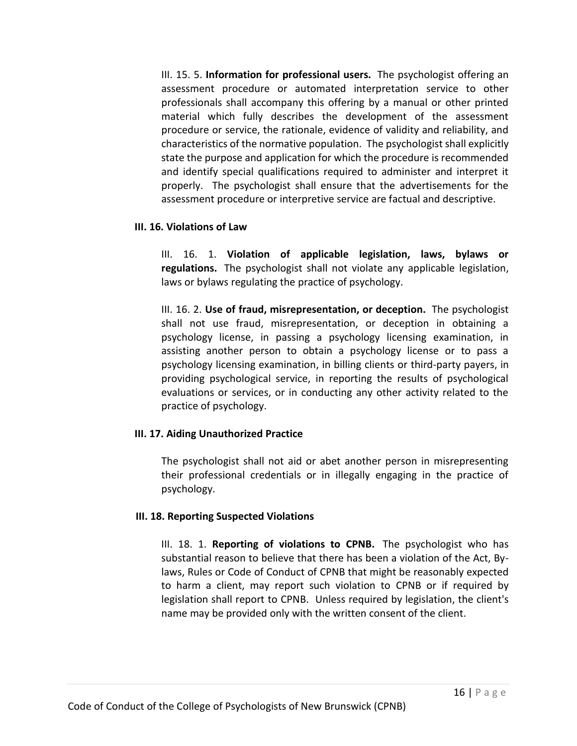III. 15. 5. **Information for professional users.** The psychologist offering an assessment procedure or automated interpretation service to other professionals shall accompany this offering by a manual or other printed material which fully describes the development of the assessment procedure or service, the rationale, evidence of validity and reliability, and characteristics of the normative population. The psychologist shall explicitly state the purpose and application for which the procedure is recommended and identify special qualifications required to administer and interpret it properly. The psychologist shall ensure that the advertisements for the assessment procedure or interpretive service are factual and descriptive.

#### **III. 16. Violations of Law**

III. 16. 1. **Violation of applicable legislation, laws, bylaws or regulations.** The psychologist shall not violate any applicable legislation, laws or bylaws regulating the practice of psychology.

III. 16. 2. **Use of fraud, misrepresentation, or deception.** The psychologist shall not use fraud, misrepresentation, or deception in obtaining a psychology license, in passing a psychology licensing examination, in assisting another person to obtain a psychology license or to pass a psychology licensing examination, in billing clients or third-party payers, in providing psychological service, in reporting the results of psychological evaluations or services, or in conducting any other activity related to the practice of psychology.

## **III. 17. Aiding Unauthorized Practice**

The psychologist shall not aid or abet another person in misrepresenting their professional credentials or in illegally engaging in the practice of psychology.

# **III. 18. Reporting Suspected Violations**

III. 18. 1. **Reporting of violations to CPNB.** The psychologist who has substantial reason to believe that there has been a violation of the Act, Bylaws, Rules or Code of Conduct of CPNB that might be reasonably expected to harm a client, may report such violation to CPNB or if required by legislation shall report to CPNB. Unless required by legislation, the client's name may be provided only with the written consent of the client.